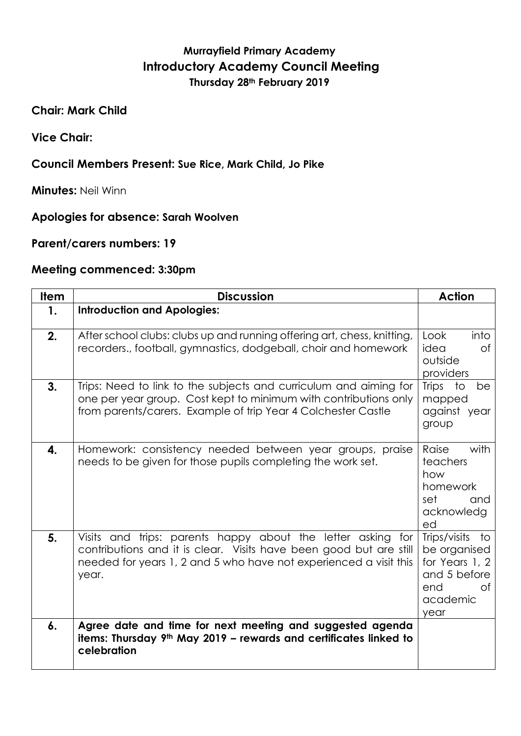## **Murrayfield Primary Academy Introductory Academy Council Meeting Thursday 28th February 2019**

**Chair: Mark Child**

**Vice Chair:**

## **Council Members Present: Sue Rice, Mark Child, Jo Pike**

**Minutes:** Neil Winn

## **Apologies for absence: Sarah Woolven**

**Parent/carers numbers: 19**

## **Meeting commenced: 3:30pm**

| <b>Item</b>        | <b>Discussion</b>                                                                                                                                                                                               | <b>Action</b>                                                                                      |
|--------------------|-----------------------------------------------------------------------------------------------------------------------------------------------------------------------------------------------------------------|----------------------------------------------------------------------------------------------------|
| 1.                 | <b>Introduction and Apologies:</b>                                                                                                                                                                              |                                                                                                    |
| 2.                 | After school clubs: clubs up and running offering art, chess, knitting,<br>recorders., football, gymnastics, dodgeball, choir and homework                                                                      | Look<br>into<br>idea<br>Οf<br>outside<br>providers                                                 |
| 3.                 | Trips: Need to link to the subjects and curriculum and aiming for<br>one per year group. Cost kept to minimum with contributions only<br>from parents/carers. Example of trip Year 4 Colchester Castle          | Trips<br>to<br>be<br>mapped<br>against year<br>group                                               |
| $\boldsymbol{4}$ . | Homework: consistency needed between year groups, praise<br>needs to be given for those pupils completing the work set.                                                                                         | Raise<br>with<br>teachers<br>how<br>homework<br>set<br>and<br>acknowledg<br>ed                     |
| 5.                 | Visits and trips: parents happy about the letter asking for<br>contributions and it is clear. Visits have been good but are still<br>needed for years 1, 2 and 5 who have not experienced a visit this<br>year. | Trips/visits to<br>be organised<br>for Years 1, 2<br>and 5 before<br>end<br>Ωf<br>academic<br>year |
| $\boldsymbol{6}$ . | Agree date and time for next meeting and suggested agenda<br>items: Thursday 9 <sup>th</sup> May 2019 - rewards and certificates linked to<br>celebration                                                       |                                                                                                    |